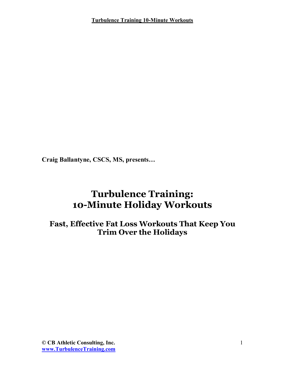**Craig Ballantyne, CSCS, MS, presents…**

# **Turbulence Training: 10-Minute Holiday Workouts**

**Fast, Effective Fat Loss Workouts That Keep You Trim Over the Holidays**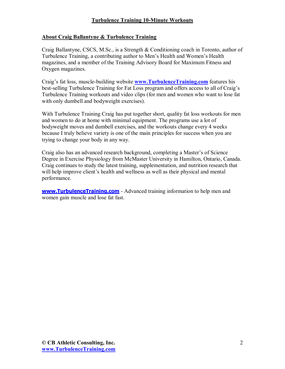#### **About Craig Ballantyne & Turbulence Training**

Craig Ballantyne, CSCS, M.Sc., is a Strength & Conditioning coach in Toronto, author of Turbulence Training, a contributing author to Men's Health and Women's Health magazines, and a member of the Training Advisory Board for Maximum Fitness and Oxygen magazines.

Craig's fat loss, muscle-building website **[www.TurbulenceTraining.com](http://billnad.turbulence.hop.clickbank.net)** features his best-selling Turbulence Training for Fat Loss program and offers access to all of Craig's Turbulence Training workouts and video clips (for men and women who want to lose fat with only dumbell and bodyweight exercises).

With Turbulence Training Craig has put together short, quality fat loss workouts for men and women to do at home with minimal equipment. The programs use a lot of bodyweight moves and dumbell exercises, and the workouts change every 4 weeks because I truly believe variety is one of the main principles for success when you are trying to change your body in any way.

Craig also has an advanced research background, completing a Master's of Science Degree in Exercise Physiology from McMaster University in Hamilton, Ontario, Canada. Craig continues to study the latest training, supplementation, and nutrition research that will help improve client's health and wellness as well as their physical and mental performance.

**[www.TurbulenceTraining.com](http://billnad.turbulence.hop.clickbank.net)** - Advanced training information to help men and women gain muscle and lose fat fast.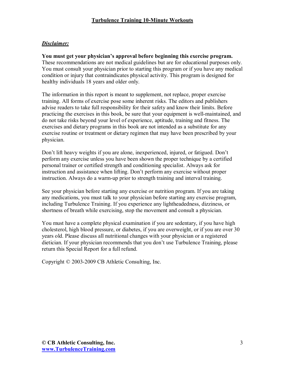### *Disclaimer:*

**You must get your physician's approval before beginning this exercise program.** These recommendations are not medical guidelines but are for educational purposes only. You must consult your physician prior to starting this program or if you have any medical condition or injury that contraindicates physical activity. This program is designed for healthy individuals 18 years and older only.

The information in this report is meant to supplement, not replace, proper exercise training. All forms of exercise pose some inherent risks. The editors and publishers advise readers to take full responsibility for their safety and know their limits. Before practicing the exercises in this book, be sure that your equipment is well-maintained, and do not take risks beyond your level of experience, aptitude, training and fitness. The exercises and dietary programs in this book are not intended as a substitute for any exercise routine or treatment or dietary regimen that may have been prescribed by your physician.

Don't lift heavy weights if you are alone, inexperienced, injured, or fatigued. Don't perform any exercise unless you have been shown the proper technique by a certified personal trainer or certified strength and conditioning specialist. Always ask for instruction and assistance when lifting. Don't perform any exercise without proper instruction. Always do a warm-up prior to strength training and interval training.

See your physician before starting any exercise or nutrition program. If you are taking any medications, you must talk to your physician before starting any exercise program, including Turbulence Training. If you experience any lightheadedness, dizziness, or shortness of breath while exercising, stop the movement and consult a physician.

You must have a complete physical examination if you are sedentary, if you have high cholesterol, high blood pressure, or diabetes, if you are overweight, or if you are over 30 years old. Please discuss all nutritional changes with your physician or a registered dietician. If your physician recommends that you don't use Turbulence Training, please return this Special Report for a full refund.

Copyright © 2003-2009 CB Athletic Consulting, Inc.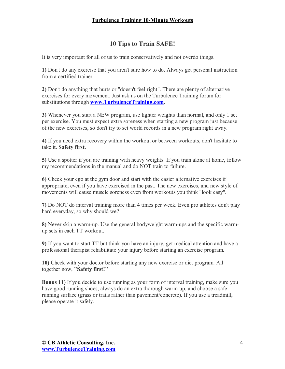### **10 Tips to Train SAFE!**

It is very important for all of us to train conservatively and not overdo things.

**1)** Don't do any exercise that you aren't sure how to do. Always get personal instruction from a certified trainer.

**2)** Don't do anything that hurts or "doesn't feel right". There are plenty of alternative exercises for every movement. Just ask us on the Turbulence Training forum for substitutions through **[www.TurbulenceTraining.com](http://billnad.turbulence.hop.clickbank.net)**.

**3)** Whenever you start a NEW program, use lighter weights than normal, and only 1 set per exercise. You must expect extra soreness when starting a new program just because of the new exercises, so don't try to set world records in a new program right away.

**4)** If you need extra recovery within the workout or between workouts, don't hesitate to take it. **Safety first.** 

**5)** Use a spotter if you are training with heavy weights. If you train alone at home, follow my recommendations in the manual and do NOT train to failure.

**6)** Check your ego at the gym door and start with the easier alternative exercises if appropriate, even if you have exercised in the past. The new exercises, and new style of movements will cause muscle soreness even from workouts you think "look easy".

**7)** Do NOT do interval training more than 4 times per week. Even pro athletes don't play hard everyday, so why should we?

**8)** Never skip a warm-up. Use the general bodyweight warm-ups and the specific warmup sets in each TT workout.

**9)** If you want to start TT but think you have an injury, get medical attention and have a professional therapist rehabilitate your injury before starting an exercise program.

**10)** Check with your doctor before starting any new exercise or diet program. All together now, **"Safety first!"**

**Bonus 11)** If you decide to use running as your form of interval training, make sure you have good running shoes, always do an extra thorough warm-up, and choose a safe running surface (grass or trails rather than pavement/concrete). If you use a treadmill, please operate it safely.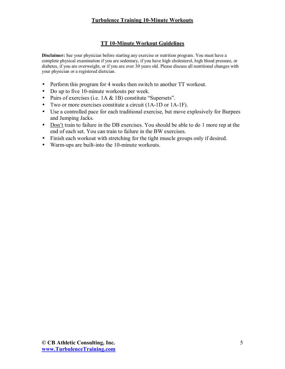#### **TT 10-Minute Workout Guidelines**

**Disclaimer:** See your physician before starting any exercise or nutrition program. You must have a complete physical examination if you are sedentary, if you have high cholesterol, high blood pressure, or diabetes, if you are overweight, or if you are over 30 years old. Please discuss all nutritional changes with your physician or a registered dietician.

- Perform this program for 4 weeks then switch to another TT workout.
- Do up to five 10-minute workouts per week.
- Pairs of exercises (i.e. 1A & 1B) constitute "Supersets".
- Two or more exercises constitute a circuit (1A-1D or 1A-1F).
- Use a controlled pace for each traditional exercise, but move explosively for Burpees and Jumping Jacks.
- Don't train to failure in the DB exercises. You should be able to do 1 more rep at the end of each set. You can train to failure in the BW exercises.
- Finish each workout with stretching for the tight muscle groups only if desired.
- Warm-ups are built-into the 10-minute workouts.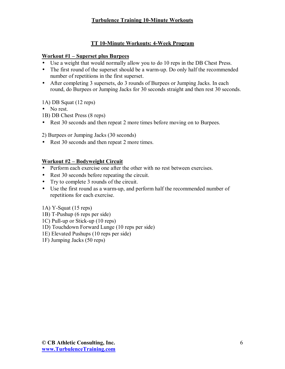### **TT 10-Minute Workouts: 4-Week Program**

#### **Workout #1 – Superset plus Burpees**

- Use a weight that would normally allow you to do 10 reps in the DB Chest Press.
- The first round of the superset should be a warm-up. Do only half the recommended number of repetitions in the first superset.
- After completing 3 supersets, do 3 rounds of Burpees or Jumping Jacks. In each round, do Burpees or Jumping Jacks for 30 seconds straight and then rest 30 seconds.

### 1A) DB Squat (12 reps)

• No rest.

1B) DB Chest Press (8 reps)

• Rest 30 seconds and then repeat 2 more times before moving on to Burpees.

2) Burpees or Jumping Jacks (30 seconds)

• Rest 30 seconds and then repeat 2 more times.

### **Workout #2 – Bodyweight Circuit**

- Perform each exercise one after the other with no rest between exercises.
- Rest 30 seconds before repeating the circuit.
- Try to complete 3 rounds of the circuit.
- Use the first round as a warm-up, and perform half the recommended number of repetitions for each exercise.
- 1A) Y-Squat (15 reps)
- 1B) T-Pushup (6 reps per side)
- 1C) Pull-up or Stick-up (10 reps)
- 1D) Touchdown Forward Lunge (10 reps per side)
- 1E) Elevated Pushups (10 reps per side)
- 1F) Jumping Jacks (50 reps)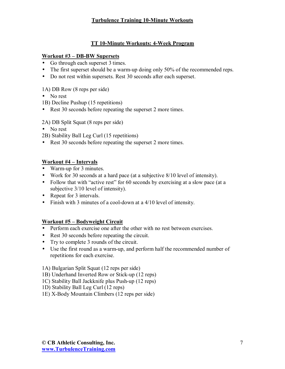### **TT 10-Minute Workouts: 4-Week Program**

#### **Workout #3 – DB-BW Supersets**

- Go through each superset 3 times.
- The first superset should be a warm-up doing only 50% of the recommended reps.
- Do not rest within supersets. Rest 30 seconds after each superset.

#### 1A) DB Row (8 reps per side)

- No rest
- 1B) Decline Pushup (15 repetitions)
- Rest 30 seconds before repeating the superset 2 more times.
- 2A) DB Split Squat (8 reps per side)
- No rest
- 2B) Stability Ball Leg Curl (15 repetitions)
- Rest 30 seconds before repeating the superset 2 more times.

#### **Workout #4 – Intervals**

- Warm-up for 3 minutes.
- Work for 30 seconds at a hard pace (at a subjective 8/10 level of intensity).
- Follow that with "active rest" for 60 seconds by exercising at a slow pace (at a subjective 3/10 level of intensity).
- Repeat for 3 intervals.
- Finish with 3 minutes of a cool-down at a 4/10 level of intensity.

#### **Workout #5 – Bodyweight Circuit**

- Perform each exercise one after the other with no rest between exercises.
- Rest 30 seconds before repeating the circuit.
- Try to complete 3 rounds of the circuit.
- Use the first round as a warm-up, and perform half the recommended number of repetitions for each exercise.

1A) Bulgarian Split Squat (12 reps per side)

- 1B) Underhand Inverted Row or Stick-up (12 reps)
- 1C) Stability Ball Jackknife plus Push-up (12 reps)
- 1D) Stability Ball Leg Curl (12 reps)
- 1E) X-Body Mountain Climbers (12 reps per side)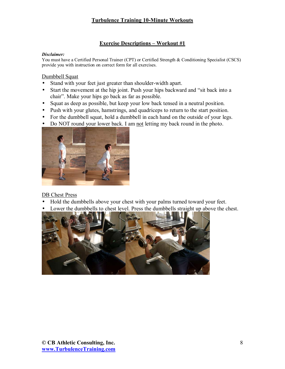#### **Exercise Descriptions – Workout #1**

#### *Disclaimer:*

You must have a Certified Personal Trainer (CPT) or Certified Strength & Conditioning Specialist (CSCS) provide you with instruction on correct form for all exercises.

#### Dumbbell Squat

- Stand with your feet just greater than shoulder-width apart.
- Start the movement at the hip joint. Push your hips backward and "sit back into a chair". Make your hips go back as far as possible.
- Squat as deep as possible, but keep your low back tensed in a neutral position.
- Push with your glutes, hamstrings, and quadriceps to return to the start position.
- For the dumbbell squat, hold a dumbbell in each hand on the outside of your legs.
- Do NOT round your lower back. I am not letting my back round in the photo.



#### DB Chest Press

- Hold the dumbbells above your chest with your palms turned toward your feet.
- Lower the dumbbells to chest level. Press the dumbbells straight up above the chest.

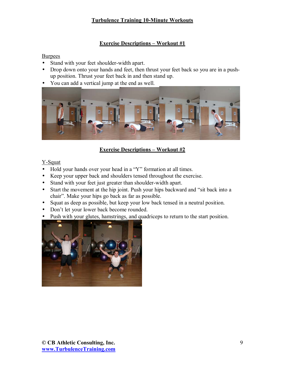### **Exercise Descriptions – Workout #1**

#### Burpees

- Stand with your feet shoulder-width apart.
- Drop down onto your hands and feet, then thrust your feet back so you are in a pushup position. Thrust your feet back in and then stand up.
- You can add a vertical jump at the end as well.



### **Exercise Descriptions – Workout #2**

Y-Squat

- Hold your hands over your head in a "Y" formation at all times.
- Keep your upper back and shoulders tensed throughout the exercise.
- Stand with your feet just greater than shoulder-width apart.
- Start the movement at the hip joint. Push your hips backward and "sit back into a chair". Make your hips go back as far as possible.
- Squat as deep as possible, but keep your low back tensed in a neutral position.
- Don't let your lower back become rounded.
- Push with your glutes, hamstrings, and quadriceps to return to the start position.

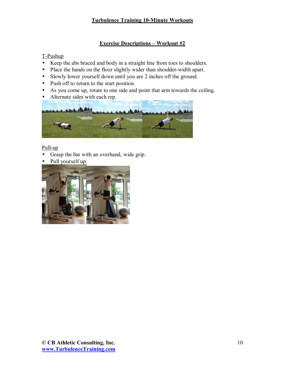### **Exercise Descriptions – Workout #2**

#### T-Pushup

- Keep the abs braced and body in a straight line from toes to shoulders.
- Place the hands on the floor slightly wider than shoulder-width apart.
- Slowly lower yourself down until you are 2 inches off the ground.
- Push off to return to the start position.
- As you come up, rotate to one side and point that arm towards the ceiling.
- Alternate sides with each rep.



#### Pull-up

- Grasp the bar with an overhand, wide grip.
- Pull yourself up.

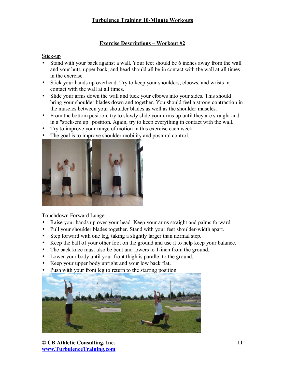#### **Exercise Descriptions – Workout #2**

#### Stick-up

- Stand with your back against a wall. Your feet should be 6 inches away from the wall and your butt, upper back, and head should all be in contact with the wall at all times in the exercise.
- Stick your hands up overhead. Try to keep your shoulders, elbows, and wrists in contact with the wall at all times.
- Slide your arms down the wall and tuck your elbows into your sides. This should bring your shoulder blades down and together. You should feel a strong contraction in the muscles between your shoulder blades as well as the shoulder muscles.
- From the bottom position, try to slowly slide your arms up until they are straight and in a "stick-em up" position. Again, try to keep everything in contact with the wall.
- Try to improve your range of motion in this exercise each week.
- The goal is to improve shoulder mobility and postural control.



Touchdown Forward Lunge

- Raise your hands up over your head. Keep your arms straight and palms forward.
- Pull your shoulder blades together. Stand with your feet shoulder-width apart.
- Step forward with one leg, taking a slightly larger than normal step.
- Keep the ball of your other foot on the ground and use it to help keep your balance.
- The back knee must also be bent and lowers to 1-inch from the ground.
- Lower your body until your front thigh is parallel to the ground.
- Keep your upper body upright and your low back flat.
- Push with your front leg to return to the starting position.

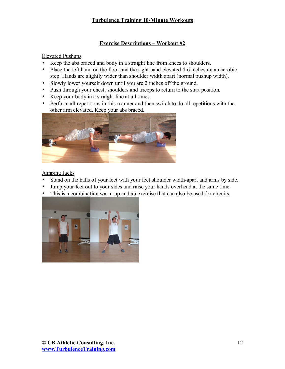### **Exercise Descriptions – Workout #2**

### Elevated Pushups

- Keep the abs braced and body in a straight line from knees to shoulders.
- Place the left hand on the floor and the right hand elevated 4-6 inches on an aerobic step. Hands are slightly wider than shoulder width apart (normal pushup width).
- Slowly lower yourself down until you are 2 inches off the ground.
- Push through your chest, shoulders and triceps to return to the start position.
- Keep your body in a straight line at all times.
- Perform all repetitions in this manner and then switch to do all repetitions with the other arm elevated. Keep your abs braced.



Jumping Jacks

- Stand on the balls of your feet with your feet shoulder width-apart and arms by side.
- Jump your feet out to your sides and raise your hands overhead at the same time.
- This is a combination warm-up and ab exercise that can also be used for circuits.

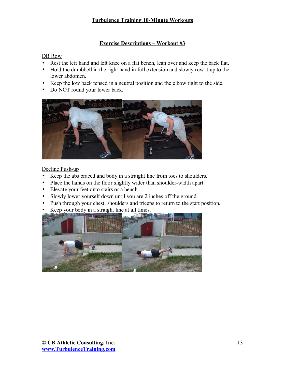### **Exercise Descriptions – Workout #3**

#### DB Row

- Rest the left hand and left knee on a flat bench, lean over and keep the back flat.
- Hold the dumbbell in the right hand in full extension and slowly row it up to the lower abdomen.
- Keep the low back tensed in a neutral position and the elbow tight to the side.
- Do NOT round your lower back.



Decline Push-up

- Keep the abs braced and body in a straight line from toes to shoulders.
- Place the hands on the floor slightly wider than shoulder-width apart.
- Elevate your feet onto stairs or a bench.
- Slowly lower yourself down until you are 2 inches off the ground.
- Push through your chest, shoulders and triceps to return to the start position.
- Keep your body in a straight line at all times.

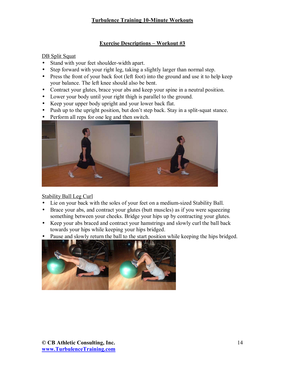### **Exercise Descriptions – Workout #3**

#### DB Split Squat

- Stand with your feet shoulder-width apart.
- Step forward with your right leg, taking a slightly larger than normal step.
- Press the front of your back foot (left foot) into the ground and use it to help keep your balance. The left knee should also be bent.
- Contract your glutes, brace your abs and keep your spine in a neutral position.
- Lower your body until your right thigh is parallel to the ground.
- Keep your upper body upright and your lower back flat.
- Push up to the upright position, but don't step back. Stay in a split-squat stance.
- Perform all reps for one leg and then switch.



#### Stability Ball Leg Curl

- Lie on your back with the soles of your feet on a medium-sized Stability Ball.
- Brace your abs, and contract your glutes (butt muscles) as if you were squeezing something between your cheeks. Bridge your hips up by contracting your glutes.
- Keep your abs braced and contract your hamstrings and slowly curl the ball back towards your hips while keeping your hips bridged.
- Pause and slowly return the ball to the start position while keeping the hips bridged.

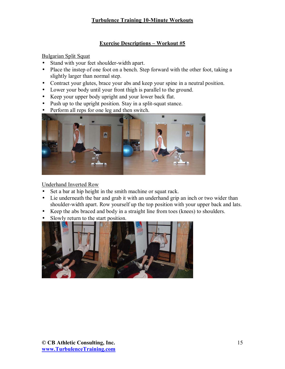### **Exercise Descriptions – Workout #5**

#### Bulgarian Split Squat

- Stand with your feet shoulder-width apart.
- Place the instep of one foot on a bench. Step forward with the other foot, taking a slightly larger than normal step.
- Contract your glutes, brace your abs and keep your spine in a neutral position.
- Lower your body until your front thigh is parallel to the ground.
- Keep your upper body upright and your lower back flat.
- Push up to the upright position. Stay in a split-squat stance.
- Perform all reps for one leg and then switch.



Underhand Inverted Row

- Set a bar at hip height in the smith machine or squat rack.
- Lie underneath the bar and grab it with an underhand grip an inch or two wider than shoulder-width apart. Row yourself up the top position with your upper back and lats.
- Keep the abs braced and body in a straight line from toes (knees) to shoulders.
- Slowly return to the start position.

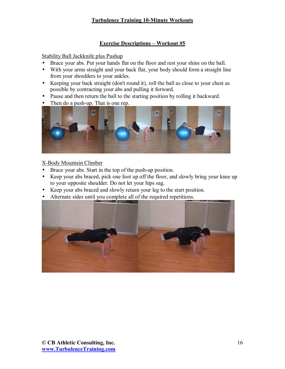### **Exercise Descriptions – Workout #5**

#### Stability Ball Jackknife plus Pushup

- Brace your abs. Put your hands flat on the floor and rest your shins on the ball.
- With your arms straight and your back flat, your body should form a straight line from your shoulders to your ankles.
- Keeping your back straight (don't round it), roll the ball as close to your chest as possible by contracting your abs and pulling it forward.
- Pause and then return the ball to the starting position by rolling it backward.
- Then do a push-up. That is one rep.



X-Body Mountain Climber

- Brace your abs. Start in the top of the push-up position.
- Keep your abs braced, pick one foot up off the floor, and slowly bring your knee up to your opposite shoulder. Do not let your hips sag.
- Keep your abs braced and slowly return your leg to the start position.
- Alternate sides until you complete all of the required repetitions.

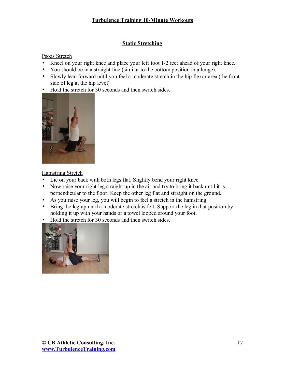### **Static Stretching**

### Psoas Stretch

- Kneel on your right knee and place your left foot 1-2 feet ahead of your right knee.
- You should be in a straight line (similar to the bottom position in a lunge).
- Slowly lean forward until you feel a moderate stretch in the hip flexor area (the front side of leg at the hip level)
- Hold the stretch for 30 seconds and then switch sides.



#### Hamstring Stretch

- Lie on your back with both legs flat. Slightly bend your right knee.
- Now raise your right leg straight up in the air and try to bring it back until it is perpendicular to the floor. Keep the other leg flat and straight on the ground.
- As you raise your leg, you will begin to feel a stretch in the hamstring.
- Bring the leg up until a moderate stretch is felt. Support the leg in that position by holding it up with your hands or a towel looped around your foot.
- Hold the stretch for 30 seconds and then switch sides.

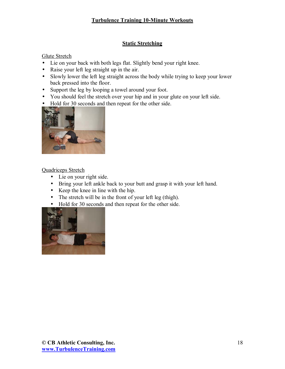### **Static Stretching**

#### Glute Stretch

- Lie on your back with both legs flat. Slightly bend your right knee.
- Raise your left leg straight up in the air.
- Slowly lower the left leg straight across the body while trying to keep your lower back pressed into the floor.
- Support the leg by looping a towel around your foot.
- You should feel the stretch over your hip and in your glute on your left side.
- Hold for 30 seconds and then repeat for the other side.



Quadriceps Stretch

- Lie on your right side.
- Bring your left ankle back to your butt and grasp it with your left hand.
- Keep the knee in line with the hip.
- The stretch will be in the front of your left leg (thigh).
- Hold for 30 seconds and then repeat for the other side.

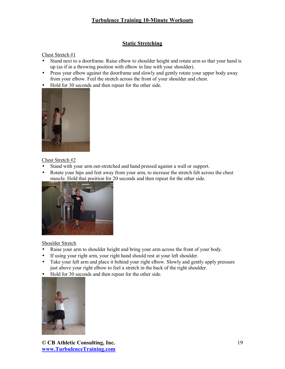#### **Static Stretching**

#### Chest Stretch #1

- Stand next to a doorframe. Raise elbow to shoulder height and rotate arm so that your hand is up (as if in a throwing position with elbow in line with your shoulder).
- Press your elbow against the doorframe and slowly and gently rotate your upper body away from your elbow. Feel the stretch across the front of your shoulder and chest.
- Hold for 30 seconds and then repeat for the other side.



#### Chest Stretch #2

- Stand with your arm out-stretched and hand pressed against a wall or support.
- Rotate your hips and feet away from your arm, to increase the stretch felt across the chest muscle. Hold that position for 20 seconds and then repeat for the other side.



#### Shoulder Stretch

- Raise your arm to shoulder height and bring your arm across the front of your body.
- If using your right arm, your right hand should rest at your left shoulder.
- Take your left arm and place it behind your right elbow. Slowly and gently apply pressure just above your right elbow to feel a stretch in the back of the right shoulder.
- Hold for 30 seconds and then repeat for the other side.